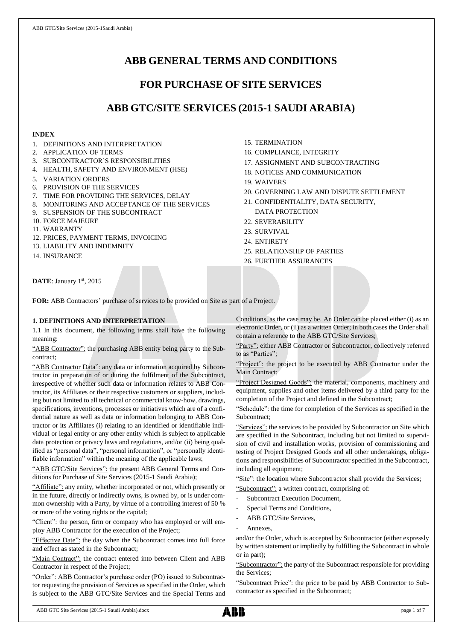# **ABB GENERAL TERMS AND CONDITIONS**

# **FOR PURCHASE OF SITE SERVICES**

# **ABB GTC/SITE SERVICES (2015-1 SAUDI ARABIA)**

## **INDEX**

- 1. DEFINITIONS AND INTERPRETATION
- 2. APPLICATION OF TERMS
- 3. SUBCONTRACTOR'S RESPONSIBILITIES
- 4. HEALTH, SAFETY AND ENVIRONMENT (HSE)
- 5. VARIATION ORDERS
- 6. PROVISION OF THE SERVICES
- 7. TIME FOR PROVIDING THE SERVICES, DELAY
- 8. MONITORING AND ACCEPTANCE OF THE SERVICES
- 9. SUSPENSION OF THE SUBCONTRACT
- 10. FORCE MAJEURE
- 11. WARRANTY
- 12. PRICES, PAYMENT TERMS, INVOICING
- 13. LIABILITY AND INDEMNITY
- 14. INSURANCE
- 15. TERMINATION
- 16. COMPLIANCE, INTEGRITY
- 17. ASSIGNMENT AND SUBCONTRACTING
- 18. NOTICES AND COMMUNICATION
- 19. WAIVERS
- 20. GOVERNING LAW AND DISPUTE SETTLEMENT
- 21. CONFIDENTIALITY, DATA SECURITY, DATA PROTECTION
- 22. SEVERABILITY
- 23. SURVIVAL
- 24. ENTIRETY
- 25. RELATIONSHIP OF PARTIES
- 26. FURTHER ASSURANCES

DATE: January 1st, 2015

**FOR:** ABB Contractors' purchase of services to be provided on Site as part of a Project.

## **1. DEFINITIONS AND INTERPRETATION**

1.1 In this document, the following terms shall have the following meaning:

"ABB Contractor": the purchasing ABB entity being party to the Subcontract;

"ABB Contractor Data": any data or information acquired by Subcontractor in preparation of or during the fulfilment of the Subcontract, irrespective of whether such data or information relates to ABB Contractor, its Affiliates or their respective customers or suppliers, including but not limited to all technical or commercial know-how, drawings, specifications, inventions, processes or initiatives which are of a confidential nature as well as data or information belonging to ABB Contractor or its Affiliates (i) relating to an identified or identifiable individual or legal entity or any other entity which is subject to applicable data protection or privacy laws and regulations, and/or (ii) being qualified as "personal data", "personal information", or "personally identifiable information" within the meaning of the applicable laws;

"ABB GTC/Site Services": the present ABB General Terms and Conditions for Purchase of Site Services (2015-1 Saudi Arabia);

"Affiliate": any entity, whether incorporated or not, which presently or in the future, directly or indirectly owns, is owned by, or is under common ownership with a Party, by virtue of a controlling interest of 50 % or more of the voting rights or the capital;

"Client": the person, firm or company who has employed or will employ ABB Contractor for the execution of the Project;

"Effective Date": the day when the Subcontract comes into full force and effect as stated in the Subcontract;

"Main Contract": the contract entered into between Client and ABB Contractor in respect of the Project;

"Order": ABB Contractor's purchase order (PO) issued to Subcontractor requesting the provision of Services as specified in the Order, which is subject to the ABB GTC/Site Services and the Special Terms and Conditions, as the case may be. An Order can be placed either (i) as an electronic Order, or (ii) as a written Order; in both cases the Order shall contain a reference to the ABB GTC/Site Services;

"Party": either ABB Contractor or Subcontractor, collectively referred to as "Parties";

"Project": the project to be executed by ABB Contractor under the Main Contract;

"Project Designed Goods": the material, components, machinery and equipment, supplies and other items delivered by a third party for the completion of the Project and defined in the Subcontract;

"Schedule": the time for completion of the Services as specified in the Subcontract;

"Services": the services to be provided by Subcontractor on Site which are specified in the Subcontract, including but not limited to supervision of civil and installation works, provision of commissioning and testing of Project Designed Goods and all other undertakings, obligations and responsibilities of Subcontractor specified in the Subcontract, including all equipment;

"Site": the location where Subcontractor shall provide the Services; "Subcontract": a written contract, comprising of:

- Subcontract Execution Document,
- Special Terms and Conditions,
- ABB GTC/Site Services,
- Annexes.

and/or the Order, which is accepted by Subcontractor (either expressly by written statement or impliedly by fulfilling the Subcontract in whole or in part);

"Subcontractor": the party of the Subcontract responsible for providing the Services;

"Subcontract Price": the price to be paid by ABB Contractor to Subcontractor as specified in the Subcontract;

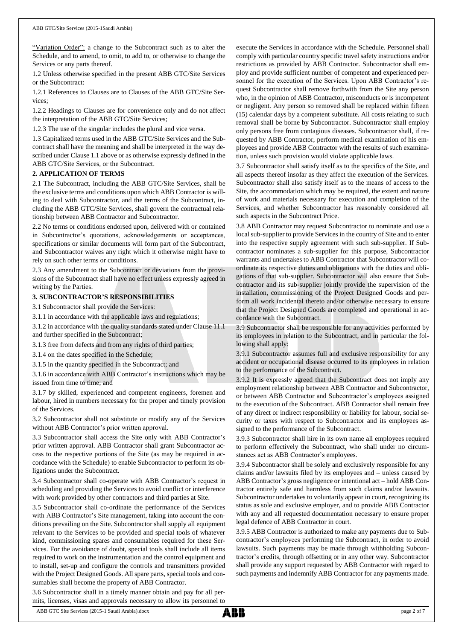"Variation Order": a change to the Subcontract such as to alter the Schedule, and to amend, to omit, to add to, or otherwise to change the Services or any parts thereof.

1.2 Unless otherwise specified in the present ABB GTC/Site Services or the Subcontract:

1.2.1 References to Clauses are to Clauses of the ABB GTC/Site Services;

1.2.2 Headings to Clauses are for convenience only and do not affect the interpretation of the ABB GTC/Site Services;

1.2.3 The use of the singular includes the plural and vice versa.

1.3 Capitalized terms used in the ABB GTC/Site Services and the Subcontract shall have the meaning and shall be interpreted in the way described under Clause 1.1 above or as otherwise expressly defined in the ABB GTC/Site Services, or the Subcontract.

## **2. APPLICATION OF TERMS**

2.1 The Subcontract, including the ABB GTC/Site Services, shall be the exclusive terms and conditions upon which ABB Contractor is willing to deal with Subcontractor, and the terms of the Subcontract, including the ABB GTC/Site Services, shall govern the contractual relationship between ABB Contractor and Subcontractor.

2.2 No terms or conditions endorsed upon, delivered with or contained in Subcontractor's quotations, acknowledgements or acceptances, specifications or similar documents will form part of the Subcontract, and Subcontractor waives any right which it otherwise might have to rely on such other terms or conditions.

2.3 Any amendment to the Subcontract or deviations from the provisions of the Subcontract shall have no effect unless expressly agreed in writing by the Parties.

## **3. SUBCONTRACTOR'S RESPONSIBILITIES**

3.1 Subcontractor shall provide the Services:

3.1.1 in accordance with the applicable laws and regulations;

3.1.2 in accordance with the quality standards stated under Clause 11.1 and further specified in the Subcontract;

3.1.3 free from defects and from any rights of third parties;

3.1.4 on the dates specified in the Schedule;

3.1.5 in the quantity specified in the Subcontract; and

3.1.6 in accordance with ABB Contractor's instructions which may be issued from time to time; and

3.1.7 by skilled, experienced and competent engineers, foremen and labour, hired in numbers necessary for the proper and timely provision of the Services.

3.2 Subcontractor shall not substitute or modify any of the Services without ABB Contractor's prior written approval.

3.3 Subcontractor shall access the Site only with ABB Contractor's prior written approval. ABB Contractor shall grant Subcontractor access to the respective portions of the Site (as may be required in accordance with the Schedule) to enable Subcontractor to perform its obligations under the Subcontract.

3.4 Subcontractor shall co-operate with ABB Contractor's request in scheduling and providing the Services to avoid conflict or interference with work provided by other contractors and third parties at Site.

3.5 Subcontractor shall co-ordinate the performance of the Services with ABB Contractor's Site management, taking into account the conditions prevailing on the Site. Subcontractor shall supply all equipment relevant to the Services to be provided and special tools of whatever kind, commissioning spares and consumables required for these Services. For the avoidance of doubt, special tools shall include all items required to work on the instrumentation and the control equipment and to install, set-up and configure the controls and transmitters provided with the Project Designed Goods. All spare parts, special tools and consumables shall become the property of ABB Contractor.

3.6 Subcontractor shall in a timely manner obtain and pay for all permits, licenses, visas and approvals necessary to allow its personnel to execute the Services in accordance with the Schedule. Personnel shall comply with particular country specific travel safety instructions and/or restrictions as provided by ABB Contractor. Subcontractor shall employ and provide sufficient number of competent and experienced personnel for the execution of the Services. Upon ABB Contractor's request Subcontractor shall remove forthwith from the Site any person who, in the opinion of ABB Contractor, misconducts or is incompetent or negligent. Any person so removed shall be replaced within fifteen (15) calendar days by a competent substitute. All costs relating to such removal shall be borne by Subcontractor. Subcontractor shall employ only persons free from contagious diseases. Subcontractor shall, if requested by ABB Contractor, perform medical examination of his employees and provide ABB Contractor with the results of such examination, unless such provision would violate applicable laws.

3.7 Subcontractor shall satisfy itself as to the specifics of the Site, and all aspects thereof insofar as they affect the execution of the Services. Subcontractor shall also satisfy itself as to the means of access to the Site, the accommodation which may be required, the extent and nature of work and materials necessary for execution and completion of the Services, and whether Subcontractor has reasonably considered all such aspects in the Subcontract Price.

3.8 ABB Contractor may request Subcontractor to nominate and use a local sub-supplier to provide Services in the country of Site and to enter into the respective supply agreement with such sub-supplier. If Subcontractor nominates a sub-supplier for this purpose, Subcontractor warrants and undertakes to ABB Contractor that Subcontractor will coordinate its respective duties and obligations with the duties and obligations of that sub-supplier. Subcontractor will also ensure that Subcontractor and its sub-supplier jointly provide the supervision of the installation, commissioning of the Project Designed Goods and perform all work incidental thereto and/or otherwise necessary to ensure that the Project Designed Goods are completed and operational in accordance with the Subcontract.

3.9 Subcontractor shall be responsible for any activities performed by its employees in relation to the Subcontract, and in particular the following shall apply:

3.9.1 Subcontractor assumes full and exclusive responsibility for any accident or occupational disease occurred to its employees in relation to the performance of the Subcontract.

3.9.2 It is expressly agreed that the Subcontract does not imply any employment relationship between ABB Contractor and Subcontractor, or between ABB Contractor and Subcontractor's employees assigned to the execution of the Subcontract. ABB Contractor shall remain free of any direct or indirect responsibility or liability for labour, social security or taxes with respect to Subcontractor and its employees assigned to the performance of the Subcontract.

3.9.3 Subcontractor shall hire in its own name all employees required to perform effectively the Subcontract, who shall under no circumstances act as ABB Contractor's employees.

3.9.4 Subcontractor shall be solely and exclusively responsible for any claims and/or lawsuits filed by its employees and – unless caused by ABB Contractor's gross negligence or intentional act – hold ABB Contractor entirely safe and harmless from such claims and/or lawsuits. Subcontractor undertakes to voluntarily appear in court, recognizing its status as sole and exclusive employer, and to provide ABB Contractor with any and all requested documentation necessary to ensure proper legal defence of ABB Contractor in court.

3.9.5 ABB Contractor is authorized to make any payments due to Subcontractor's employees performing the Subcontract, in order to avoid lawsuits. Such payments may be made through withholding Subcontractor's credits, through offsetting or in any other way. Subcontractor shall provide any support requested by ABB Contractor with regard to such payments and indemnify ABB Contractor for any payments made.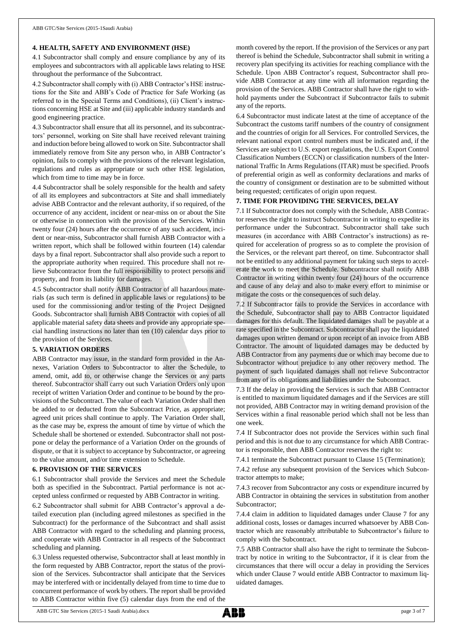### **4. HEALTH, SAFETY AND ENVIRONMENT (HSE)**

4.1 Subcontractor shall comply and ensure compliance by any of its employees and subcontractors with all applicable laws relating to HSE throughout the performance of the Subcontract.

4.2 Subcontractor shall comply with (i) ABB Contractor's HSE instructions for the Site and ABB's Code of Practice for Safe Working (as referred to in the Special Terms and Conditions), (ii) Client's instructions concerning HSE at Site and (iii) applicable industry standards and good engineering practice.

4.3 Subcontractor shall ensure that all its personnel, and its subcontractors' personnel, working on Site shall have received relevant training and induction before being allowed to work on Site. Subcontractor shall immediately remove from Site any person who, in ABB Contractor's opinion, fails to comply with the provisions of the relevant legislation, regulations and rules as appropriate or such other HSE legislation, which from time to time may be in force.

4.4 Subcontractor shall be solely responsible for the health and safety of all its employees and subcontractors at Site and shall immediately advise ABB Contractor and the relevant authority, if so required, of the occurrence of any accident, incident or near-miss on or about the Site or otherwise in connection with the provision of the Services. Within twenty four (24) hours after the occurrence of any such accident, incident or near-miss, Subcontractor shall furnish ABB Contractor with a written report, which shall be followed within fourteen (14) calendar days by a final report. Subcontractor shall also provide such a report to the appropriate authority when required. This procedure shall not relieve Subcontractor from the full responsibility to protect persons and property, and from its liability for damages.

4.5 Subcontractor shall notify ABB Contractor of all hazardous materials (as such term is defined in applicable laws or regulations) to be used for the commissioning and/or testing of the Project Designed Goods. Subcontractor shall furnish ABB Contractor with copies of all applicable material safety data sheets and provide any appropriate special handling instructions no later than ten (10) calendar days prior to the provision of the Services.

### **5. VARIATION ORDERS**

ABB Contractor may issue, in the standard form provided in the Annexes, Variation Orders to Subcontractor to alter the Schedule, to amend, omit, add to, or otherwise change the Services or any parts thereof. Subcontractor shall carry out such Variation Orders only upon receipt of written Variation Order and continue to be bound by the provisions of the Subcontract. The value of each Variation Order shall then be added to or deducted from the Subcontract Price, as appropriate; agreed unit prices shall continue to apply. The Variation Order shall, as the case may be, express the amount of time by virtue of which the Schedule shall be shortened or extended. Subcontractor shall not postpone or delay the performance of a Variation Order on the grounds of dispute, or that it is subject to acceptance by Subcontractor, or agreeing to the value amount, and/or time extension to Schedule.

#### **6. PROVISION OF THE SERVICES**

6.1 Subcontractor shall provide the Services and meet the Schedule both as specified in the Subcontract. Partial performance is not accepted unless confirmed or requested by ABB Contractor in writing.

6.2 Subcontractor shall submit for ABB Contractor's approval a detailed execution plan (including agreed milestones as specified in the Subcontract) for the performance of the Subcontract and shall assist ABB Contractor with regard to the scheduling and planning process, and cooperate with ABB Contractor in all respects of the Subcontract scheduling and planning.

6.3 Unless requested otherwise, Subcontractor shall at least monthly in the form requested by ABB Contractor, report the status of the provision of the Services. Subcontractor shall anticipate that the Services may be interfered with or incidentally delayed from time to time due to concurrent performance of work by others. The report shall be provided to ABB Contractor within five (5) calendar days from the end of the month covered by the report. If the provision of the Services or any part thereof is behind the Schedule, Subcontractor shall submit in writing a recovery plan specifying its activities for reaching compliance with the Schedule. Upon ABB Contractor's request, Subcontractor shall provide ABB Contractor at any time with all information regarding the provision of the Services. ABB Contractor shall have the right to withhold payments under the Subcontract if Subcontractor fails to submit any of the reports.

6.4 Subcontractor must indicate latest at the time of acceptance of the Subcontract the customs tariff numbers of the country of consignment and the countries of origin for all Services. For controlled Services, the relevant national export control numbers must be indicated and, if the Services are subject to U.S. export regulations, the U.S. Export Control Classification Numbers (ECCN) or classification numbers of the International Traffic In Arms Regulations (ITAR) must be specified. Proofs of preferential origin as well as conformity declarations and marks of the country of consignment or destination are to be submitted without being requested; certificates of origin upon request.

### **7. TIME FOR PROVIDING THE SERVICES, DELAY**

7.1 If Subcontractor does not comply with the Schedule, ABB Contractor reserves the right to instruct Subcontractor in writing to expedite its performance under the Subcontract. Subcontractor shall take such measures (in accordance with ABB Contractor's instructions) as required for acceleration of progress so as to complete the provision of the Services, or the relevant part thereof, on time. Subcontractor shall not be entitled to any additional payment for taking such steps to accelerate the work to meet the Schedule. Subcontractor shall notify ABB Contractor in writing within twenty four (24) hours of the occurrence and cause of any delay and also to make every effort to minimise or mitigate the costs or the consequences of such delay.

7.2 If Subcontractor fails to provide the Services in accordance with the Schedule, Subcontractor shall pay to ABB Contractor liquidated damages for this default. The liquidated damages shall be payable at a rate specified in the Subcontract. Subcontractor shall pay the liquidated damages upon written demand or upon receipt of an invoice from ABB Contractor. The amount of liquidated damages may be deducted by ABB Contractor from any payments due or which may become due to Subcontractor without prejudice to any other recovery method. The payment of such liquidated damages shall not relieve Subcontractor from any of its obligations and liabilities under the Subcontract.

7.3 If the delay in providing the Services is such that ABB Contractor is entitled to maximum liquidated damages and if the Services are still not provided, ABB Contractor may in writing demand provision of the Services within a final reasonable period which shall not be less than one week.

7.4 If Subcontractor does not provide the Services within such final period and this is not due to any circumstance for which ABB Contractor is responsible, then ABB Contractor reserves the right to:

7.4.1 terminate the Subcontract pursuant to Clause 15 (Termination);

7.4.2 refuse any subsequent provision of the Services which Subcontractor attempts to make;

7.4.3 recover from Subcontractor any costs or expenditure incurred by ABB Contractor in obtaining the services in substitution from another Subcontractor;

7.4.4 claim in addition to liquidated damages under Clause 7 for any additional costs, losses or damages incurred whatsoever by ABB Contractor which are reasonably attributable to Subcontractor's failure to comply with the Subcontract.

7.5 ABB Contractor shall also have the right to terminate the Subcontract by notice in writing to the Subcontractor, if it is clear from the circumstances that there will occur a delay in providing the Services which under Clause 7 would entitle ABB Contractor to maximum liquidated damages.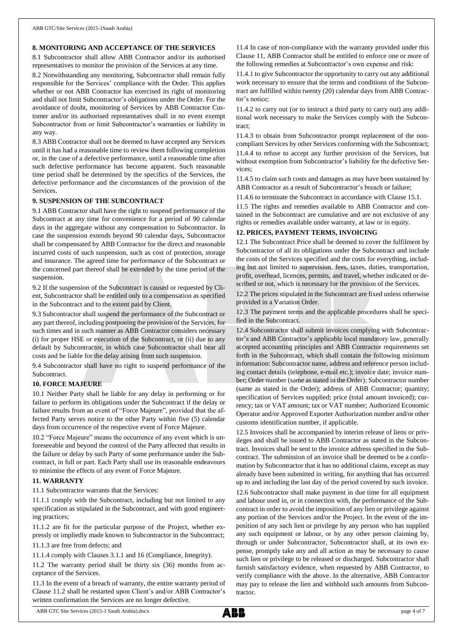### **8. MONITORING AND ACCEPTANCE OF THE SERVICES**

8.1 Subcontractor shall allow ABB Contractor and/or its authorised representatives to monitor the provision of the Services at any time.

8.2 Notwithstanding any monitoring, Subcontractor shall remain fully responsible for the Services' compliance with the Order. This applies whether or not ABB Contractor has exercised its right of monitoring and shall not limit Subcontractor's obligations under the Order. For the avoidance of doubt, monitoring of Services by ABB Contractor Customer and/or its authorised representatives shall in no event exempt Subcontractor from or limit Subcontractor's warranties or liability in any way.

8.3 ABB Contractor shall not be deemed to have accepted any Services until it has had a reasonable time to review them following completion or, in the case of a defective performance, until a reasonable time after such defective performance has become apparent. Such reasonable time period shall be determined by the specifics of the Services, the defective performance and the circumstances of the provision of the Services.

### **9. SUSPENSION OF THE SUBCONTRACT**

9.1 ABB Contractor shall have the right to suspend performance of the Subcontract at any time for convenience for a period of 90 calendar days in the aggregate without any compensation to Subcontractor. In case the suspension extends beyond 90 calendar days, Subcontractor shall be compensated by ABB Contractor for the direct and reasonable incurred costs of such suspension, such as cost of protection, storage and insurance. The agreed time for performance of the Subcontract or the concerned part thereof shall be extended by the time period of the suspension.

9.2 If the suspension of the Subcontract is caused or requested by Client, Subcontractor shall be entitled only to a compensation as specified in the Subcontract and to the extent paid by Client.

9.3 Subcontractor shall suspend the performance of the Subcontract or any part thereof, including postponing the provision of the Services, for such times and in such manner as ABB Contractor considers necessary (i) for proper HSE or execution of the Subcontract, or (ii) due to any default by Subcontractor, in which case Subcontractor shall bear all costs and be liable for the delay arising from such suspension.

9.4 Subcontractor shall have no right to suspend performance of the **Subcontract.** 

### **10. FORCE MAJEURE**

10.1 Neither Party shall be liable for any delay in performing or for failure to perform its obligations under the Subcontract if the delay or failure results from an event of "Force Majeure", provided that the affected Party serves notice to the other Party within five (5) calendar days from occurrence of the respective event of Force Majeure.

10.2 "Force Majeure" means the occurrence of any event which is unforeseeable and beyond the control of the Party affected that results in the failure or delay by such Party of some performance under the Subcontract, in full or part. Each Party shall use its reasonable endeavours to minimise the effects of any event of Force Majeure.

## **11. WARRANTY**

11.1 Subcontractor warrants that the Services:

11.1.1 comply with the Subcontract, including but not limited to any specification as stipulated in the Subcontract, and with good engineering practices;

11.1.2 are fit for the particular purpose of the Project, whether expressly or impliedly made known to Subcontractor in the Subcontract;

11.1.3 are free from defects; and

11.1.4 comply with Clauses 3.1.1 and 16 (Compliance, Integrity).

11.2 The warranty period shall be thirty six (36) months from acceptance of the Services.

11.3 In the event of a breach of warranty, the entire warranty period of Clause 11.2 shall be restarted upon Client's and/or ABB Contractor's written confirmation the Services are no longer defective.

11.4 In case of non-compliance with the warranty provided under this Clause 11, ABB Contractor shall be entitled to enforce one or more of the following remedies at Subcontractor's own expense and risk:

11.4.1 to give Subcontractor the opportunity to carry out any additional work necessary to ensure that the terms and conditions of the Subcontract are fulfilled within twenty (20) calendar days from ABB Contractor's notice;

11.4.2 to carry out (or to instruct a third party to carry out) any additional work necessary to make the Services comply with the Subcontract;

11.4.3 to obtain from Subcontractor prompt replacement of the noncompliant Services by other Services conforming with the Subcontract; 11.4.4 to refuse to accept any further provision of the Services, but without exemption from Subcontractor's liability for the defective Services;

11.4.5 to claim such costs and damages as may have been sustained by ABB Contractor as a result of Subcontractor's breach or failure;

11.4.6 to terminate the Subcontract in accordance with Clause 15.1.

11.5 The rights and remedies available to ABB Contractor and contained in the Subcontract are cumulative and are not exclusive of any rights or remedies available under warranty, at law or in equity.

#### **12. PRICES, PAYMENT TERMS, INVOICING**

12.1 The Subcontract Price shall be deemed to cover the fulfilment by Subcontractor of all its obligations under the Subcontract and include the costs of the Services specified and the costs for everything, including but not limited to supervision, fees, taxes, duties, transportation, profit, overhead, licences, permits, and travel, whether indicated or described or not, which is necessary for the provision of the Services.

12.2 The prices stipulated in the Subcontract are fixed unless otherwise provided in a Variation Order.

12.3 The payment terms and the applicable procedures shall be specified in the Subcontract.

12.4 Subcontractor shall submit invoices complying with Subcontractor's and ABB Contractor's applicable local mandatory law, generally accepted accounting principles and ABB Contractor requirements set forth in the Subcontract, which shall contain the following minimum information: Subcontractor name, address and reference person including contact details (telephone, e-mail etc.); invoice date; invoice number; Order number (same as stated in the Order); Subcontractor number (same as stated in the Order); address of ABB Contractor; quantity; specification of Services supplied; price (total amount invoiced); currency; tax or VAT amount; tax or VAT number; Authorized Economic Operator and/or Approved Exporter Authorization number and/or other customs identification number, if applicable.

12.5 Invoices shall be accompanied by interim release of liens or privileges and shall be issued to ABB Contractor as stated in the Subcontract. Invoices shall be sent to the invoice address specified in the Subcontract. The submission of an invoice shall be deemed to be a confirmation by Subcontractor that it has no additional claims, except as may already have been submitted in writing, for anything that has occurred up to and including the last day of the period covered by such invoice.

12.6 Subcontractor shall make payment in due time for all equipment and labour used in, or in connection with, the performance of the Subcontract in order to avoid the imposition of any lien or privilege against any portion of the Services and/or the Project. In the event of the imposition of any such lien or privilege by any person who has supplied any such equipment or labour, or by any other person claiming by, through or under Subcontractor, Subcontractor shall, at its own expense, promptly take any and all action as may be necessary to cause such lien or privilege to be released or discharged. Subcontractor shall furnish satisfactory evidence, when requested by ABB Contractor, to verify compliance with the above. In the alternative, ABB Contractor may pay to release the lien and withhold such amounts from Subcontractor.

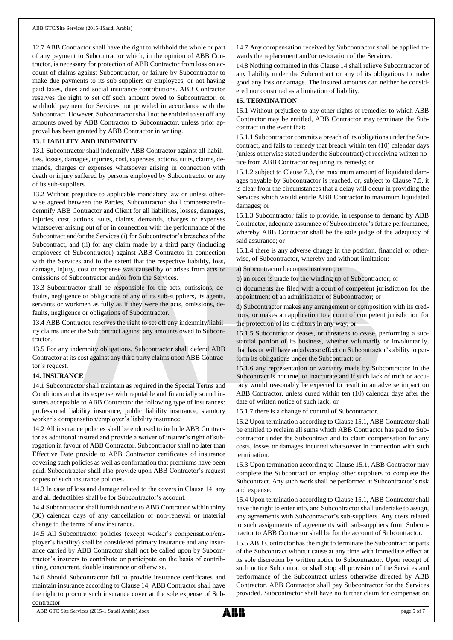12.7 ABB Contractor shall have the right to withhold the whole or part of any payment to Subcontractor which, in the opinion of ABB Contractor, is necessary for protection of ABB Contractor from loss on account of claims against Subcontractor, or failure by Subcontractor to make due payments to its sub-suppliers or employees, or not having paid taxes, dues and social insurance contributions. ABB Contractor reserves the right to set off such amount owed to Subcontractor, or withhold payment for Services not provided in accordance with the Subcontract. However, Subcontractor shall not be entitled to set off any amounts owed by ABB Contractor to Subcontractor, unless prior approval has been granted by ABB Contractor in writing.

## **13. LIABILITY AND INDEMNITY**

13.1 Subcontractor shall indemnify ABB Contractor against all liabilities, losses, damages, injuries, cost, expenses, actions, suits, claims, demands, charges or expenses whatsoever arising in connection with death or injury suffered by persons employed by Subcontractor or any of its sub-suppliers.

13.2 Without prejudice to applicable mandatory law or unless otherwise agreed between the Parties, Subcontractor shall compensate/indemnify ABB Contractor and Client for all liabilities, losses, damages, injuries, cost, actions, suits, claims, demands, charges or expenses whatsoever arising out of or in connection with the performance of the Subcontract and/or the Services (i) for Subcontractor's breaches of the Subcontract, and (ii) for any claim made by a third party (including employees of Subcontractor) against ABB Contractor in connection with the Services and to the extent that the respective liability, loss, damage, injury, cost or expense was caused by or arises from acts or omissions of Subcontractor and/or from the Services.

13.3 Subcontractor shall be responsible for the acts, omissions, defaults, negligence or obligations of any of its sub-suppliers, its agents, servants or workmen as fully as if they were the acts, omissions, defaults, negligence or obligations of Subcontractor.

13.4 ABB Contractor reserves the right to set off any indemnity/liability claims under the Subcontract against any amounts owed to Subcontractor.

13.5 For any indemnity obligations, Subcontractor shall defend ABB Contractor at its cost against any third party claims upon ABB Contractor's request.

### **14. INSURANCE**

14.1 Subcontractor shall maintain as required in the Special Terms and Conditions and at its expense with reputable and financially sound insurers acceptable to ABB Contractor the following type of insurances: professional liability insurance, public liability insurance, statutory worker's compensation/employer's liability insurance.

14.2 All insurance policies shall be endorsed to include ABB Contractor as additional insured and provide a waiver of insurer's right of subrogation in favour of ABB Contractor. Subcontractor shall no later than Effective Date provide to ABB Contractor certificates of insurance covering such policies as well as confirmation that premiums have been paid. Subcontractor shall also provide upon ABB Contractor's request copies of such insurance policies.

14.3 In case of loss and damage related to the covers in Clause 14, any and all deductibles shall be for Subcontractor's account.

14.4 Subcontractor shall furnish notice to ABB Contractor within thirty (30) calendar days of any cancellation or non-renewal or material change to the terms of any insurance.

14.5 All Subcontractor policies (except worker's compensation/employer's liability) shall be considered primary insurance and any insurance carried by ABB Contractor shall not be called upon by Subcontractor's insurers to contribute or participate on the basis of contributing, concurrent, double insurance or otherwise.

14.6 Should Subcontractor fail to provide insurance certificates and maintain insurance according to Clause 14, ABB Contractor shall have the right to procure such insurance cover at the sole expense of Subcontractor.

14.7 Any compensation received by Subcontractor shall be applied towards the replacement and/or restoration of the Services.

14.8 Nothing contained in this Clause 14 shall relieve Subcontractor of any liability under the Subcontract or any of its obligations to make good any loss or damage. The insured amounts can neither be considered nor construed as a limitation of liability.

#### **15. TERMINATION**

15.1 Without prejudice to any other rights or remedies to which ABB Contractor may be entitled, ABB Contractor may terminate the Subcontract in the event that:

15.1.1 Subcontractor commits a breach of its obligations under the Subcontract, and fails to remedy that breach within ten (10) calendar days (unless otherwise stated under the Subcontract) of receiving written notice from ABB Contractor requiring its remedy; or

15.1.2 subject to Clause 7.3, the maximum amount of liquidated damages payable by Subcontractor is reached, or, subject to Clause 7.5, it is clear from the circumstances that a delay will occur in providing the Services which would entitle ABB Contractor to maximum liquidated damages; or

15.1.3 Subcontractor fails to provide, in response to demand by ABB Contractor, adequate assurance of Subcontractor's future performance, whereby ABB Contractor shall be the sole judge of the adequacy of said assurance; or

15.1.4 there is any adverse change in the position, financial or otherwise, of Subcontractor, whereby and without limitation:

a) Subcontractor becomes insolvent; or

b) an order is made for the winding up of Subcontractor; or

c) documents are filed with a court of competent jurisdiction for the appointment of an administrator of Subcontractor; or

d) Subcontractor makes any arrangement or composition with its creditors, or makes an application to a court of competent jurisdiction for the protection of its creditors in any way; or

15.1.5 Subcontractor ceases, or threatens to cease, performing a substantial portion of its business, whether voluntarily or involuntarily, that has or will have an adverse effect on Subcontractor's ability to perform its obligations under the Subcontract; or

15.1.6 any representation or warranty made by Subcontractor in the Subcontract is not true, or inaccurate and if such lack of truth or accuracy would reasonably be expected to result in an adverse impact on ABB Contractor, unless cured within ten (10) calendar days after the date of written notice of such lack; or

15.1.7 there is a change of control of Subcontractor.

15.2 Upon termination according to Clause 15.1, ABB Contractor shall be entitled to reclaim all sums which ABB Contractor has paid to Subcontractor under the Subcontract and to claim compensation for any costs, losses or damages incurred whatsoever in connection with such termination.

15.3 Upon termination according to Clause 15.1, ABB Contractor may complete the Subcontract or employ other suppliers to complete the Subcontract. Any such work shall be performed at Subcontractor's risk and expense.

15.4 Upon termination according to Clause 15.1, ABB Contractor shall have the right to enter into, and Subcontractor shall undertake to assign, any agreements with Subcontractor's sub-suppliers. Any costs related to such assignments of agreements with sub-suppliers from Subcontractor to ABB Contractor shall be for the account of Subcontractor.

15.5 ABB Contractor has the right to terminate the Subcontract or parts of the Subcontract without cause at any time with immediate effect at its sole discretion by written notice to Subcontractor. Upon receipt of such notice Subcontractor shall stop all provision of the Services and performance of the Subcontract unless otherwise directed by ABB Contractor. ABB Contractor shall pay Subcontractor for the Services provided. Subcontractor shall have no further claim for compensation

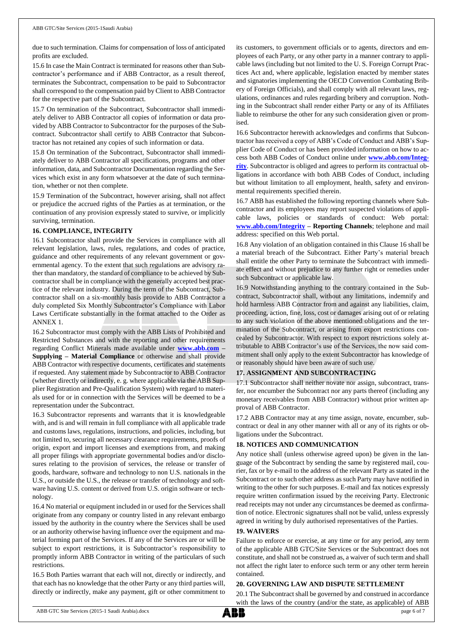due to such termination. Claims for compensation of loss of anticipated profits are excluded.

15.6 In case the Main Contract is terminated for reasons other than Subcontractor's performance and if ABB Contractor, as a result thereof, terminates the Subcontract, compensation to be paid to Subcontractor shall correspond to the compensation paid by Client to ABB Contractor for the respective part of the Subcontract.

15.7 On termination of the Subcontract, Subcontractor shall immediately deliver to ABB Contractor all copies of information or data provided by ABB Contractor to Subcontractor for the purposes of the Subcontract. Subcontractor shall certify to ABB Contractor that Subcontractor has not retained any copies of such information or data.

15.8 On termination of the Subcontract, Subcontractor shall immediately deliver to ABB Contractor all specifications, programs and other information, data, and Subcontractor Documentation regarding the Services which exist in any form whatsoever at the date of such termination, whether or not then complete.

15.9 Termination of the Subcontract, however arising, shall not affect or prejudice the accrued rights of the Parties as at termination, or the continuation of any provision expressly stated to survive, or implicitly surviving, termination.

### **16. COMPLIANCE, INTEGRITY**

16.1 Subcontractor shall provide the Services in compliance with all relevant legislation, laws, rules, regulations, and codes of practice, guidance and other requirements of any relevant government or governmental agency. To the extent that such regulations are advisory rather than mandatory, the standard of compliance to be achieved by Subcontractor shall be in compliance with the generally accepted best practice of the relevant industry. During the term of the Subcontract, Subcontractor shall on a six-monthly basis provide to ABB Contractor a duly completed Six Monthly Subcontractor's Compliance with Labor Laws Certificate substantially in the format attached to the Order as ANNEX 1.

16.2 Subcontractor must comply with the ABB Lists of Prohibited and Restricted Substances and with the reporting and other requirements regarding Conflict Minerals made available under **[www.abb.com](http://www.abb.com/) – Supplying – Material Compliance** or otherwise and shall provide ABB Contractor with respective documents, certificates and statements if requested. Any statement made by Subcontractor to ABB Contractor (whether directly or indirectly, e. g. where applicable via the ABB Supplier Registration and Pre-Qualification System) with regard to materials used for or in connection with the Services will be deemed to be a representation under the Subcontract.

16.3 Subcontractor represents and warrants that it is knowledgeable with, and is and will remain in full compliance with all applicable trade and customs laws, regulations, instructions, and policies, including, but not limited to, securing all necessary clearance requirements, proofs of origin, export and import licenses and exemptions from, and making all proper filings with appropriate governmental bodies and/or disclosures relating to the provision of services, the release or transfer of goods, hardware, software and technology to non U.S. nationals in the U.S., or outside the U.S., the release or transfer of technology and software having U.S. content or derived from U.S. origin software or technology.

16.4 No material or equipment included in or used for the Services shall originate from any company or country listed in any relevant embargo issued by the authority in the country where the Services shall be used or an authority otherwise having influence over the equipment and material forming part of the Services. If any of the Services are or will be subject to export restrictions, it is Subcontractor's responsibility to promptly inform ABB Contractor in writing of the particulars of such restrictions.

16.5 Both Parties warrant that each will not, directly or indirectly, and that each has no knowledge that the other Party or any third parties will, directly or indirectly, make any payment, gift or other commitment to its customers, to government officials or to agents, directors and employees of each Party, or any other party in a manner contrary to applicable laws (including but not limited to the U. S. Foreign Corrupt Practices Act and, where applicable, legislation enacted by member states and signatories implementing the OECD Convention Combating Bribery of Foreign Officials), and shall comply with all relevant laws, regulations, ordinances and rules regarding bribery and corruption. Nothing in the Subcontract shall render either Party or any of its Affiliates liable to reimburse the other for any such consideration given or promised.

16.6 Subcontractor herewith acknowledges and confirms that Subcontractor has received a copy of ABB's Code of Conduct and ABB's Supplier Code of Conduct or has been provided information on how to access both ABB Codes of Conduct online under **[www.abb.com/Integ](http://www.abb.com/Integrity)[rity](http://www.abb.com/Integrity)**. Subcontractor is obliged and agrees to perform its contractual obligations in accordance with both ABB Codes of Conduct, including but without limitation to all employment, health, safety and environmental requirements specified therein.

16.7 ABB has established the following reporting channels where Subcontractor and its employees may report suspected violations of applicable laws, policies or standards of conduct: Web portal: **[www.abb.com/Integrity](http://www.abb.com/Integrity) – Reporting Channels**; telephone and mail address: specified on this Web portal.

16.8 Any violation of an obligation contained in this Clause 16 shall be a material breach of the Subcontract. Either Party's material breach shall entitle the other Party to terminate the Subcontract with immediate effect and without prejudice to any further right or remedies under such Subcontract or applicable law.

16.9 Notwithstanding anything to the contrary contained in the Subcontract, Subcontractor shall, without any limitations, indemnify and hold harmless ABB Contractor from and against any liabilities, claim, proceeding, action, fine, loss, cost or damages arising out of or relating to any such violation of the above mentioned obligations and the termination of the Subcontract, or arising from export restrictions concealed by Subcontractor. With respect to export restrictions solely attributable to ABB Contractor's use of the Services, the now said commitment shall only apply to the extent Subcontractor has knowledge of or reasonably should have been aware of such use.

### **17. ASSIGNMENT AND SUBCONTRACTING**

17.1 Subcontractor shall neither novate nor assign, subcontract, transfer, nor encumber the Subcontract nor any parts thereof (including any monetary receivables from ABB Contractor) without prior written approval of ABB Contractor.

17.2 ABB Contractor may at any time assign, novate, encumber, subcontract or deal in any other manner with all or any of its rights or obligations under the Subcontract.

### **18. NOTICES AND COMMUNICATION**

Any notice shall (unless otherwise agreed upon) be given in the language of the Subcontract by sending the same by registered mail, courier, fax or by e-mail to the address of the relevant Party as stated in the Subcontract or to such other address as such Party may have notified in writing to the other for such purposes. E-mail and fax notices expressly require written confirmation issued by the receiving Party. Electronic read receipts may not under any circumstances be deemed as confirmation of notice. Electronic signatures shall not be valid, unless expressly agreed in writing by duly authorised representatives of the Parties.

#### **19. WAIVERS**

Failure to enforce or exercise, at any time or for any period, any term of the applicable ABB GTC/Site Services or the Subcontract does not constitute, and shall not be construed as, a waiver of such term and shall not affect the right later to enforce such term or any other term herein contained.

### **20. GOVERNING LAW AND DISPUTE SETTLEMENT**

20.1 The Subcontract shall be governed by and construed in accordance with the laws of the country (and/or the state, as applicable) of ABB